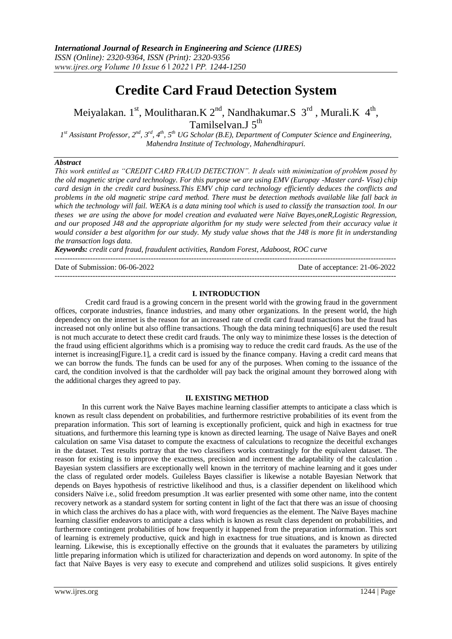# **Credite Card Fraud Detection System**

Meiyalakan. 1<sup>st</sup>, Moulitharan.K 2<sup>nd</sup>, Nandhakumar.S 3<sup>rd</sup>, Murali.K 4<sup>th</sup>, Tamilselvan.J 5<sup>th</sup>

*1 st Assistant Professor, 2nd, 3rd, 4th, 5th UG Scholar (B.E), Department of Computer Science and Engineering, Mahendra Institute of Technology, Mahendhirapuri.* 

# *Abstract*

*This work entitled as "CREDIT CARD FRAUD DETECTION". It deals with minimization of problem posed by the old magnetic stripe card technology. For this purpose we are using EMV (Europay -Master card- Visa) chip card design in the credit card business.This EMV chip card technology efficiently deduces the conflicts and problems in the old magnetic stripe card method. There must be detection methods available like fall back in which the technology will fail. WEKA is a data mining tool which is used to classify the transaction tool. In our theses we are using the above for model creation and evaluated were Naïve Bayes,oneR,Logistic Regression, and our proposed J48 and the appropriate algorithm for my study were selected from their accuracy value it would consider a best algorithm for our study. My study value shows that the J48 is more fit in understanding the transaction logs data.*

*Keywords: credit card fraud, fraudulent activities, Random Forest, Adaboost, ROC curve*

---------------------------------------------------------------------------------------------------------------------------------------

Date of Submission: 06-06-2022 Date of acceptance: 21-06-2022

### **I. INTRODUCTION**

---------------------------------------------------------------------------------------------------------------------------------------

Credit card fraud is a growing concern in the present world with the growing fraud in the government offices, corporate industries, finance industries, and many other organizations. In the present world, the high dependency on the internet is the reason for an increased rate of credit card fraud transactions but the fraud has increased not only online but also offline transactions. Though the data mining techniques[6] are used the result is not much accurate to detect these credit card frauds. The only way to minimize these losses is the detection of the fraud using efficient algorithms which is a promising way to reduce the credit card frauds. As the use of the internet is increasing[Figure.1], a credit card is issued by the finance company. Having a credit card means that we can borrow the funds. The funds can be used for any of the purposes. When coming to the issuance of the card, the condition involved is that the cardholder will pay back the original amount they borrowed along with the additional charges they agreed to pay.

### **II. EXISTING METHOD**

In this current work the Naïve Bayes machine learning classifier attempts to anticipate a class which is known as result class dependent on probabilities, and furthermore restrictive probabilities of its event from the preparation information. This sort of learning is exceptionally proficient, quick and high in exactness for true situations, and furthermore this learning type is known as directed learning. The usage of Naïve Bayes and oneR calculation on same Visa dataset to compute the exactness of calculations to recognize the deceitful exchanges in the dataset. Test results portray that the two classifiers works contrastingly for the equivalent dataset. The reason for existing is to improve the exactness, precision and increment the adaptability of the calculation . Bayesian system classifiers are exceptionally well known in the territory of machine learning and it goes under the class of regulated order models. Guileless Bayes classifier is likewise a notable Bayesian Network that depends on Bayes hypothesis of restrictive likelihood and thus, is a classifier dependent on likelihood which considers Naïve i.e., solid freedom presumption .It was earlier presented with some other name, into the content recovery network as a standard system for sorting content in light of the fact that there was an issue of choosing in which class the archives do has a place with, with word frequencies as the element. The Naïve Bayes machine learning classifier endeavors to anticipate a class which is known as result class dependent on probabilities, and furthermore contingent probabilities of how frequently it happened from the preparation information. This sort of learning is extremely productive, quick and high in exactness for true situations, and is known as directed learning. Likewise, this is exceptionally effective on the grounds that it evaluates the parameters by utilizing little preparing information which is utilized for characterization and depends on word autonomy. In spite of the fact that Naïve Bayes is very easy to execute and comprehend and utilizes solid suspicions. It gives entirely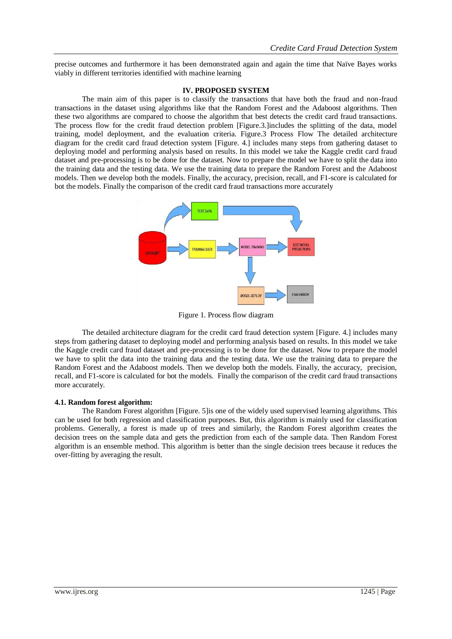precise outcomes and furthermore it has been demonstrated again and again the time that Naïve Bayes works viably in different territories identified with machine learning

### **IV. PROPOSED SYSTEM**

The main aim of this paper is to classify the transactions that have both the fraud and non-fraud transactions in the dataset using algorithms like that the Random Forest and the Adaboost algorithms. Then these two algorithms are compared to choose the algorithm that best detects the credit card fraud transactions. The process flow for the credit fraud detection problem [Figure.3.]includes the splitting of the data, model training, model deployment, and the evaluation criteria. Figure.3 Process Flow The detailed architecture diagram for the credit card fraud detection system [Figure. 4.] includes many steps from gathering dataset to deploying model and performing analysis based on results. In this model we take the Kaggle credit card fraud dataset and pre-processing is to be done for the dataset. Now to prepare the model we have to split the data into the training data and the testing data. We use the training data to prepare the Random Forest and the Adaboost models. Then we develop both the models. Finally, the accuracy, precision, recall, and F1-score is calculated for bot the models. Finally the comparison of the credit card fraud transactions more accurately



Figure 1. Process flow diagram

The detailed architecture diagram for the credit card fraud detection system [Figure. 4.] includes many steps from gathering dataset to deploying model and performing analysis based on results. In this model we take the Kaggle credit card fraud dataset and pre-processing is to be done for the dataset. Now to prepare the model we have to split the data into the training data and the testing data. We use the training data to prepare the Random Forest and the Adaboost models. Then we develop both the models. Finally, the accuracy, precision, recall, and F1-score is calculated for bot the models. Finally the comparison of the credit card fraud transactions more accurately.

### **4.1. Random forest algorithm:**

The Random Forest algorithm [Figure. 5]is one of the widely used supervised learning algorithms. This can be used for both regression and classification purposes. But, this algorithm is mainly used for classification problems. Generally, a forest is made up of trees and similarly, the Random Forest algorithm creates the decision trees on the sample data and gets the prediction from each of the sample data. Then Random Forest algorithm is an ensemble method. This algorithm is better than the single decision trees because it reduces the over-fitting by averaging the result.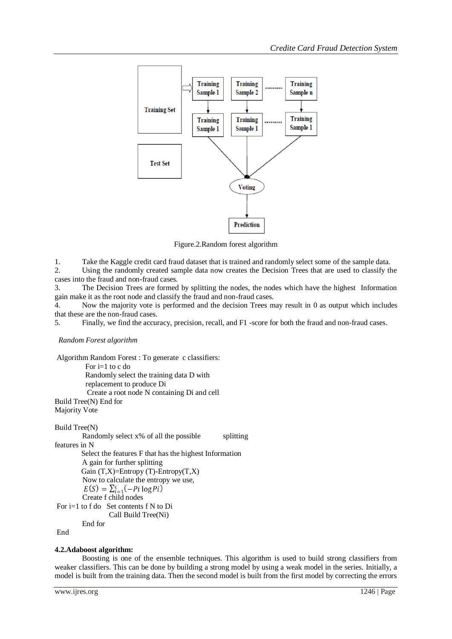

Figure.2.Random forest algorithm

1. Take the Kaggle credit card fraud dataset that is trained and randomly select some of the sample data. 2. Using the randomly created sample data now creates the Decision Trees that are used to classify the cases into the fraud and non-fraud cases.

3. The Decision Trees are formed by splitting the nodes, the nodes which have the highest Information

gain make it as the root node and classify the fraud and non-fraud cases. 4. Now the majority vote is performed and the decision Trees may result in 0 as output which includes that these are the non-fraud cases.

5. Finally, we find the accuracy, precision, recall, and F1 -score for both the fraud and non-fraud cases.

### *Random Forest algorithm*

```
Algorithm Random Forest : To generate c classifiers: 
           For i=1 to c do 
           Randomly select the training data D with 
           replacement to produce Di 
           Create a root node N containing Di and cell 
Build Tree(N) End for 
Majority Vote 
Build Tree(N) 
         Randomly select x\% of all the possible splitting
features in N 
        Select the features F that has the highest Information
```
A gain for further splitting Gain  $(T,X)$ =Entropy  $(T)$ -Entropy $(T,X)$ Now to calculate the entropy we use,<br> $E(S) = \sum_{i=1}^{c} (-Pi \log Pi)$ Create f child nodes For i=1 to f do Set contents f N to Di Call Build Tree(Ni) End for

End

# **4.2.Adaboost algorithm:**

Boosting is one of the ensemble techniques. This algorithm is used to build strong classifiers from weaker classifiers. This can be done by building a strong model by using a weak model in the series. Initially, a model is built from the training data. Then the second model is built from the first model by correcting the errors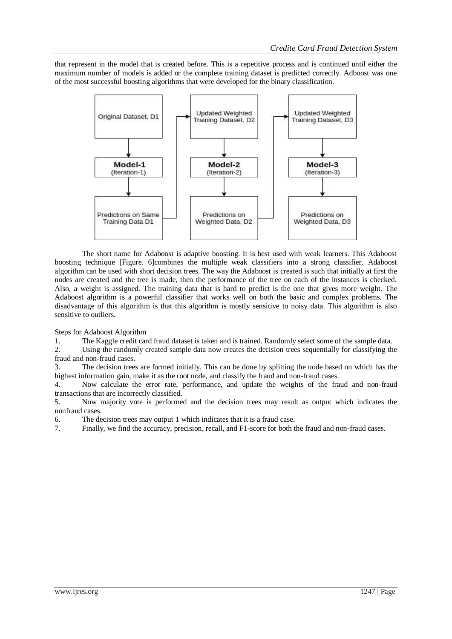that represent in the model that is created before. This is a repetitive process and is continued until either the maximum number of models is added or the complete training dataset is predicted correctly. Adboost was one of the most successful boosting algorithms that were developed for the binary classification.



The short name for Adaboost is adaptive boosting. It is best used with weak learners. This Adaboost boosting technique [Figure. 6]combines the multiple weak classifiers into a strong classifier. Adaboost algorithm can be used with short decision trees. The way the Adaboost is created is such that initially at first the nodes are created and the tree is made, then the performance of the tree on each of the instances is checked. Also, a weight is assigned. The training data that is hard to predict is the one that gives more weight. The Adaboost algorithm is a powerful classifier that works well on both the basic and complex problems. The disadvantage of this algorithm is that this algorithm is mostly sensitive to noisy data. This algorithm is also sensitive to outliers.

Steps for Adaboost Algorithm

1. The Kaggle credit card fraud dataset is taken and is trained. Randomly select some of the sample data.

2. Using the randomly created sample data now creates the decision trees sequentially for classifying the fraud and non-fraud cases.

3. The decision trees are formed initially. This can be done by splitting the node based on which has the highest information gain, make it as the root node, and classify the fraud and non-fraud cases.

4. Now calculate the error rate, performance, and update the weights of the fraud and non-fraud transactions that are incorrectly classified.

5. Now majority vote is performed and the decision trees may result as output which indicates the nonfraud cases.

6. The decision trees may output 1 which indicates that it is a fraud case.

7. Finally, we find the accuracy, precision, recall, and F1-score for both the fraud and non-fraud cases.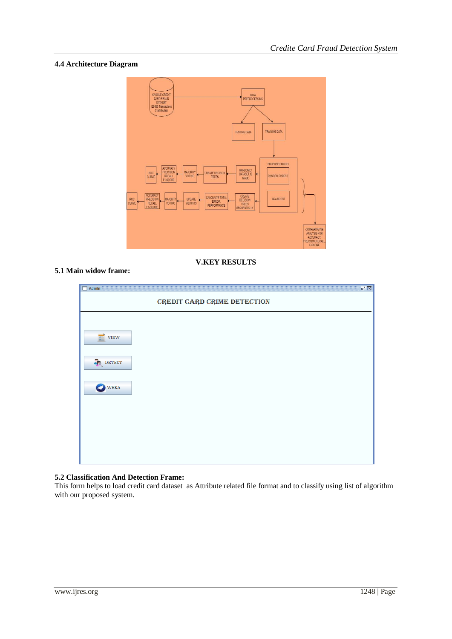# **4.4 Architecture Diagram**



**V.KEY RESULTS**

# **5.1 Main widow frame:**

| $\mathbb{E}_{\kappa} \boxtimes$<br>$\Box$ Admin<br>66666666<br>CREDIT CARD CRIME DETECTION |  |  |  |
|--------------------------------------------------------------------------------------------|--|--|--|
|                                                                                            |  |  |  |
|                                                                                            |  |  |  |
|                                                                                            |  |  |  |
|                                                                                            |  |  |  |
|                                                                                            |  |  |  |
|                                                                                            |  |  |  |

# **5.2 Classification And Detection Frame:**

This form helps to load credit card dataset as Attribute related file format and to classify using list of algorithm with our proposed system.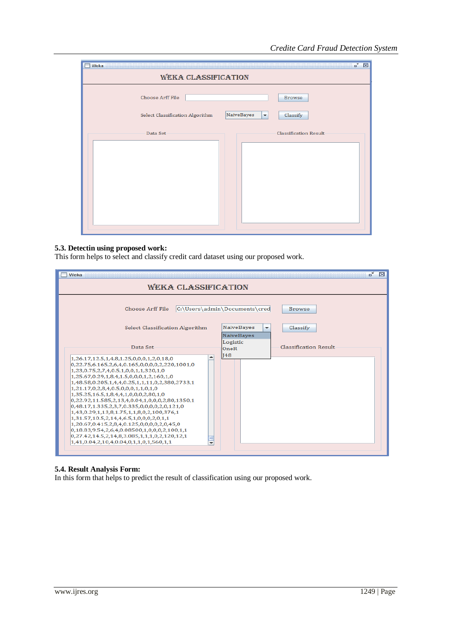| Weka                            |                                    | $\overline{\mathbf{u}}^{\mathbf{c}}$<br>$\boxtimes$ |  |
|---------------------------------|------------------------------------|-----------------------------------------------------|--|
| <b>WEKA CLASSIFICATION</b>      |                                    |                                                     |  |
| Choose Arff File                |                                    | <b>Browse</b>                                       |  |
| Select Classification Algorithm | NaiveBayes<br>$\blacktriangledown$ | Classify                                            |  |
| Data Set                        |                                    | <b>Classification Result</b>                        |  |
|                                 |                                    |                                                     |  |
|                                 |                                    |                                                     |  |
|                                 |                                    |                                                     |  |
|                                 |                                    |                                                     |  |
|                                 |                                    |                                                     |  |
|                                 |                                    |                                                     |  |

### **5.3. Detectin using proposed work:**

This form helps to select and classify credit card dataset using our proposed work.

| Weka                                                                                                                                                                                                                                                                                                                                                                   | $\mathbf{u}^{\mathbf{c}}$<br>⊠                                                                                                               |  |  |
|------------------------------------------------------------------------------------------------------------------------------------------------------------------------------------------------------------------------------------------------------------------------------------------------------------------------------------------------------------------------|----------------------------------------------------------------------------------------------------------------------------------------------|--|--|
| <b>WEKA CLASSIFICATION</b>                                                                                                                                                                                                                                                                                                                                             |                                                                                                                                              |  |  |
| Choose Arff File<br>Select Classification Algorithm                                                                                                                                                                                                                                                                                                                    | C:\Users\admin\Documents\cred<br><b>Browse</b><br><b>NaiveBayes</b><br>Classify<br>$\overline{\phantom{a}}$<br><b>NaiveBaves</b><br>Logistic |  |  |
| Data Set<br>1,26.17,12.5,1,4,8,1.25,0,0,0,1,2,0,18,0                                                                                                                                                                                                                                                                                                                   | <b>Classification Result</b><br>OneR<br><b>148</b>                                                                                           |  |  |
| 0,22.75,6.165,2,6,4,0.165,0,0,0,0,2,220,1001,0<br>1,23,0.75,2,7,4,0.5,1,0,0,1,1,320,1,0<br>1,25.67,0.29,1,8,4,1.5,0,0,0,1,2,160,1,0<br>1,48.58,0.205,1,4,4,0.25,1,1,11,0,2,380,2733,1<br>1.21.17.0.2.8.4.0.5.0.0.0.1.1.0.1.0<br>1,35,25,16,5,1,8,4,4,1,0,0,0,2,80,1,0<br>0,22.92,11.585,2,13,4,0.04,1,0,0,0,2,80,1350,1<br>0,48.17,1.335,2,3,7,0.335,0,0,0,0,2,0,121,0 |                                                                                                                                              |  |  |
| 1,43,0.29,1,13,8,1.75,1,1,8,0,2,100,376,1<br>1,31.57,10.5,2,14,4,6.5,1,0,0,0,2,0,1,1<br>1,20.67,0.415,2,8,4,0.125,0,0,0,0,2,0,45,0<br>0,18.83,9.54,2,6,4,0.08500,1,0,0,0,2,100,1,1<br>0,27.42,14.5,2,14,8,3.085,1,1,1,0,2,120,12,1<br>$1,41,0.04,2,10,4,0.04,0,1,1,0,1,560,1,1$<br>⊋                                                                                   |                                                                                                                                              |  |  |

# **5.4. Result Analysis Form:**

In this form that helps to predict the result of classification using our proposed work.